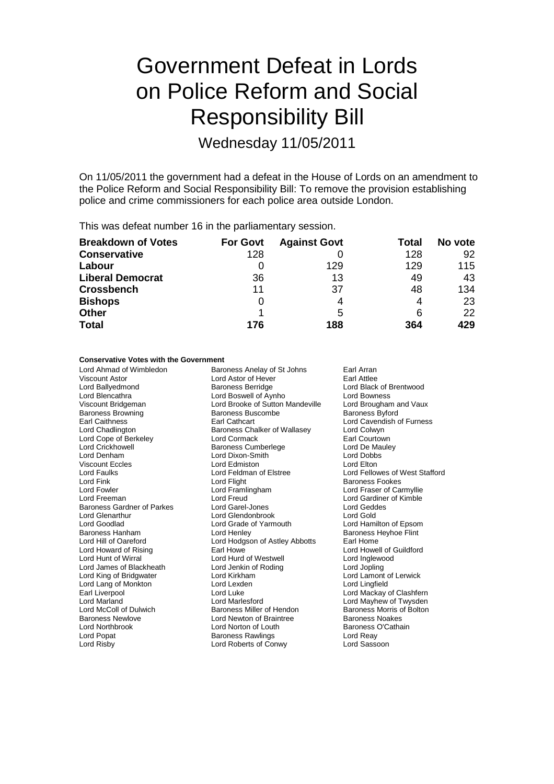# Government Defeat in Lords on Police Reform and Social Responsibility Bill

Wednesday 11/05/2011

On 11/05/2011 the government had a defeat in the House of Lords on an amendment to the Police Reform and Social Responsibility Bill: To remove the provision establishing police and crime commissioners for each police area outside London.

This was defeat number 16 in the parliamentary session.

| <b>Breakdown of Votes</b> | <b>For Govt</b> | <b>Against Govt</b> | Total | No vote |
|---------------------------|-----------------|---------------------|-------|---------|
| <b>Conservative</b>       | 128             |                     | 128   | 92      |
| Labour                    |                 | 129                 | 129   | 115     |
| <b>Liberal Democrat</b>   | 36              | 13                  | 49    | 43      |
| <b>Crossbench</b>         | 11              | 37                  | 48    | 134     |
| <b>Bishops</b>            | 0               | 4                   | 4     | 23      |
| <b>Other</b>              |                 | 5                   | 6     | 22      |
| <b>Total</b>              | 176             | 188                 | 364   | 429     |

### **Conservative Votes with the Government**

Baroness Browning Baroness Buscombe Baroness Buscombe Baroness Buscombe Baroness Buscombe Baroness Buscombe Baroness Buscombe Baroness Buscombe Baroness Buscombe Baroness Buscombe Baroness Buscombe Baroness Buscombe Barone Lord King of Bridgwater

Lord Ahmad of Wimbledon Baroness Anelay of St Johns Earl Arran Viscount Astor **Carl Attack Control Control Control Control Control Control Control Control Control Control Control Control Control Control Control Control Control Control Control Control Control Control Control Control Co** Lord Blencathra Lord Boswell of Aynho Lord Bowness Viscount Bridgeman **Lord Brooke of Sutton Mandeville** Lord Brougham and Vaux<br>
Baroness Browning **Baroness Buscombe** Baroness Byford Earl Caithness Earl Cathcart Lord Cavendish of Furness Baroness Chalker of Wallasey Lord Cope of Berkeley **Lord Cormack** Lord Cormack **Earl Courtown**<br>
Lord Crickhowell **Earl Courtown**<br>
Baroness Cumberlege **Earl Court Court Courtown** Baroness Cumberlege Lord Denham Lord Dixon-Smith Lord Dobbs Viscount Eccles **Lord Example 2** Lord Edmiston **Lord Example 2** Lord Elton Lord Elton Lord Elton Lord Fellow Lord Faulks Lord Feldman of Elstree Lord Fellowes of West Stafford Lord Fowler Lord Framlingham Lord Fraser of Carmyllie Lord Freeman Lord Freud Lord Freud Lord Cardiner of Kimble<br>
Baroness Gardner of Parkes Lord Garel-Jones Lord Geddes Lord Geddes Baroness Gardner of Parkes Lord Garel-Jones Carolic Lord Gedd<br>
Lord Glenarthur Cord Glendonbrook Lord Gold Lord Glendonbrook Lord Goodlad Lord Grade of Yarmouth Lord Hamilton of Epsom Baroness Hanham **Lord Henley Communist Communist Example 2** Baroness Heyhoe Flint Lord Hill of Oareford Lord Hodgson of Astley Abbotts Earl Home Lord Hunt of Wirral **Lord Hurd of Westwell** Lord Hurd of Westwell Lord Inglewood<br>
Lord James of Blackheath Lord Jenkin of Roding Lord Jopling Lord James of Blackheath Lord Jenkin of Roding Lord Jopling Lord Lang of Monkton Lord Lexden Lord Lingfield Earl Liverpool **Earl Liverpool** Lord Luke Lord Luke Lord Mackay of Clashfern<br>
Lord Marland Lord Marlesford Lord Mayhew of Twysden Lord Marland Lord Marlesford Lord Mayhew of Twysden Baroness Miller of Hendon Baroness Newlove **Communist Constructer Constructs** Baroness Noakes<br>
Lord Northbrook **Communist Communist Constructs**<br>
Lord Northbrook **Communist Communist Communist Communist Communist Communist Communist Communist Commun** Lord Northbrook Lord Norton of Louth Baroness O'Cathain Baroness Rawlings Lord Risby Lord Roberts of Conwy Lord Sassoon

Lord Black of Brentwood **Baroness Fookes** Lord Howard of Rising Earl Howe Lord Howell of Guildford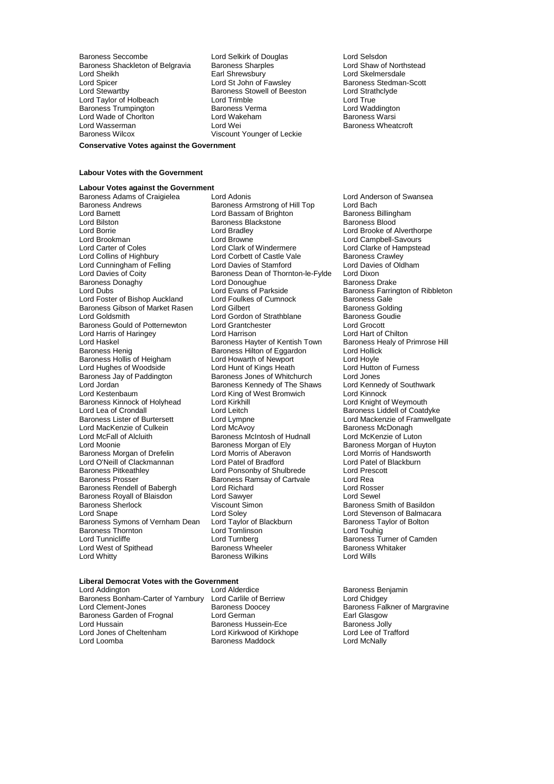Baroness Seccombe **Lord Selkirk of Douglas** Cord Selsdon<br>Baroness Shackleton of Belgravia Baroness Sharples **Lord Shaw of Northstead** Baroness Shackleton of Belgravia Baroness Sharples **Baroness Sharples** Lord Shaw of North<br>Lord Sheikh Lord Skelmersdale Lord Spicer Lord St John of Fawsley Baroness Stedman<br>Lord Stewartby Baroness Stewarth Baroness Stedman<br>Lord Strathclyde Lord Taylor of Holbeach Lord Trimble Lord True<br>
Baroness Trumpington Baroness Verma Lord Waddington Baroness Trumpington Baroness Verma Lord Waddington Lord Waddington Lord Waddington Lord Waddington Lord Waddington Lord Waddington Lord Waddington Lord Waddington Lord Waddington Lord Watchen Lord Watchen Baroness Warsi Lord Wade of Choriton **Lord Wakeham**<br>
Lord Wasserman **Baroness Warsh** Lord Wei Lord Wasserman Lord Wei Communication Baroness Wheatcroft<br>
Baroness Wilcox Clicos Communication Communication Clicking Communication Clicking Baroness Wheatcroft

Earl Shrewsbury **Lord Skelmersdale**<br>
Lord St John of Fawsley **Baroness** Stedman-Scott Baroness Stowell of Beeston Lord Strathcland Lord True<br>Lord Trimble Lord True Viscount Younger of Leckie

**Conservative Votes against the Government**

### **Labour Votes with the Government**

**Labour Votes against the Government** Baroness Adams of Craigielea Lord Adonis Lord Anderson of Swansea Baroness Andrews **Baroness Armstrong of Hill Top** Lord Bach<br>
Lord Barnett **Communist Communist Communist Communist Communist Communist Communist Communist Communist Communist** Lord Barnett **Lord Bassam of Brighton** Baroness Billing<br>
Lord Bilston **Baroness Backstone** Baroness Blood<br>
Baroness Blood Lord Bilston Baroness Blackstone<br>
Lord Borrie Baroness Blackstone<br>
Lord Bradley Lord Borrie Lord Bradley Lord Brooke of Alverthorpe Lord Carter of Coles<br>
Lord Colins of Highbury<br>
Lord Corbett of Castle Vale<br>
Baroness Crawley Lord Cunningham of Felling Lord Davies of Stamford Lord Davies<br>
Lord Davies of Coity Baroness Dean of Thornton-le-Fylde Lord Dixon Baroness Donaghy<br>
Lord Dubs<br>
Lord Evans of Parkside Lord Foster of Bishop Auckland Baroness Gibson of Market Rasen Lord Gilbert **Baroness Golding**<br>Lord Goldsmith Lord Gordon of Strathblane Baroness Goudie Lord Goldsmith Lord Gordon of Strathblane Baroness Gould of Potternewton Lord Grantchester Lord Grocott Baroness Gould of Potternewton Lord Grantchester **Lord Group Constant Constant Constant**<br>Lord Harris of Haringey Lord Harrison Lord Harrison Lord Hart of Chilton Lord Harris of Haringey Lord Harrison Lord Hart of Chilton Lord Haskel Entity of Baroness Hayter of Kentish Town Baroness Health Baroness Health Baroness Hilton of Eggardon Baroness Hollis of Heigham Lord Howarth of Newport Lord Hoyle<br>
Lord Hughes of Woodside Lord Hunt of Kings Heath Lord Hutton of Furness Lord Hughes of Woodside **Lord Hunt of Kings Heath** Lord Hutton Lord Hutton **Communist Communist Communist Communist**<br>Baroness Jay of Paddington **Communist Communist Communist Communist Communist Communist Communist Communi** Baroness Jay of Paddington **Baroness Jones of Whitchurch** Lord Jones<br>
Lord Jordan **Baroness Kennedy of The Shaws** Lord Kennedy of Southwark Lord Jordan **Baroness Kennedy of The Shaws** Lord Kennedy<br>
Lord Kestenbaum **Baroness Kennedy of The Shaws** Lord Kinnock Baroness Kinnock of Holyhead Lord Lea of Crondall Coat Lord Leitch Coat Baroness Liddell of Coatdyke<br>
Baroness Lister of Burtersett Lord Lympne Lord Mackenzie of Framwellg Lord MacKenzie of Culkein Lord McAvoy Cord McAvoy<br>
Lord McFall of Alcluith Carrol Baroness McIntosh of Hudnall Lord McKenzie of Luton Lord McFall of Alcluith Baroness McIntosh of Hudnall<br>Lord Moonie of Luton Baroness Morgan of Elv Baroness Morgan of Drefelin Lord Morris of Aberavon Lord Morris of Handsworth Lord Morris of Handsworth Lord P<br>Lord O'Neill of Clackmannan Lord Patel of Bradford Lord Patel of Blackburn Lord O'Neill of Clackmannan Lord Patel of Bradford Lord Patel of I<br>Baroness Pitkeathley Lord Ponsonby of Shulbrede Lord Prescott Baroness Pitkeathley **Lord Ponsonby of Shulbrede** Lord Pres<br>Baroness Prosser **Baroness Ramsay of Cartyale** Lord Rea Baroness Rendell of Babergh Lord Richard Corporation Lord Rosser<br>Baroness Royall of Blaisdon Lord Sawyer Lord Sewel Baroness Royall of Blaisdon **Lord Sawyer**<br>Baroness Sherlock **Diges Act Act Act Contract State** Baroness Sherlock **Exercise Sherlock** Viscount Simon Baroness Smith of Basildon<br>
Lord Shape **Baroness Smith of Basildon**<br>
Lord Sherlock Lord Soley **Baroness Smith of Balmacar** Baroness Symons of Vernham Dean Lord Taylor of Blackburn Baroness Taylor of Bolton<br>Baroness Thornton Baroness Thominson Lord Tomlinson Baroness Thornton Baroness Thornton Lord Tomlinson Lord Touhig Lord West of Spithead **Baroness Wheeler** Baroness Wheeler **Baroness** Cord Whitaker Baroness Wilkins **Baroness** Cord Wills

Lord Corbett of Castle Vale Baroness Crawley<br>Lord Davies of Stamford Baroness of Oldham Baroness Dean of Thornton-le-Fylde Lord Dixon<br>Lord Donoughue Baroness Drake Lord Evans of Parkside **Baroness Farrington of Ribbleton**<br>
Lord Foulkes of Cumnock **Baroness Gale** Baroness Hilton of Eggardon Lord Hollick<br>
Lord Howarth of Newport Lord Hoyle Lord King of West Bromwich Lord Kinnock<br>Lord Kirkhill Lord Knight of Weymouth Baroness Morgan of Ely Baroness Morgan of Huyton<br>Lord Morris of Aberavon Baroness Morris of Handsworth Baroness Ramsay of Cartvale Lord Rea<br>Lord Richard Lord Rosser Lord Soley **Lord Soley Lord Stevenson of Balmacara**<br>
Lord Taylor of Blackburn **Constant Balton** Baroness Taylor of Bolton Lord Turnberg **Lord Turnberg** Baroness Turner of Camden<br>
Baroness Wheeler Baroness Whitaker Baroness Wilkins

### **Liberal Democrat Votes with the Government**

Lord Addington **Lord Addington** Lord Alderdice **Baroness** Benjamin<br>
Baroness Bonham-Carter of Yarnbury Lord Carlile of Berriew **Lord Chidgey** Baroness Bonham-Carter of Yarnbury Lord Carlile of Ber<br>Lord Clement-Jones Baroness Doocey Baroness Garden of Frognal Lord Hussain **Example 2** Exercise Baroness Hussein-Ece **Baroness Jolly**<br>
Lord Jones of Cheltenham **Baroness Hussein-Ece** Baroness Jolly Lord Jones of Cheltenham Lord Kirkwood of Kirkhope Lord Lee of T<br>
Lord Lord Lord McNally<br>
Baroness Maddock Lord McNally

Baroness Maddock

Lord Campbell-Savours Lord Mackenzie of Framwellgate<br>Baroness McDonagh

Lord Clement-Jones Baroness Doocey Baroness Falkner of Margravine